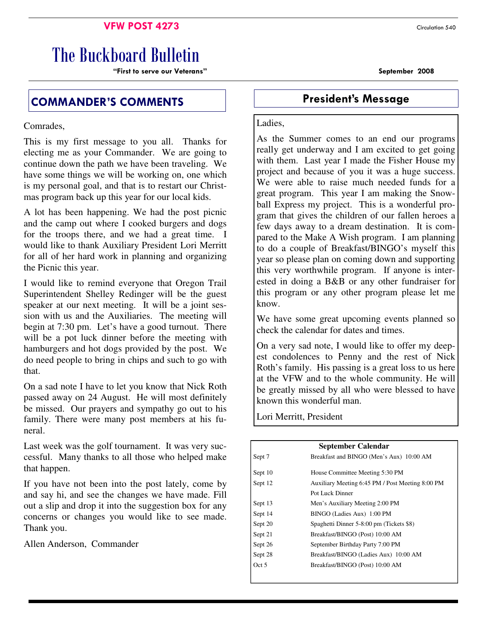# **VFW POST 4273** Circulation 540

# The Buckboard Bulletin

"First to serve our Veterans" September 2008

# COMMANDER'S COMMENTS **Example 20 Fresident's Message**

Comrades,

This is my first message to you all. Thanks for electing me as your Commander. We are going to continue down the path we have been traveling. We have some things we will be working on, one which is my personal goal, and that is to restart our Christmas program back up this year for our local kids.

A lot has been happening. We had the post picnic and the camp out where I cooked burgers and dogs for the troops there, and we had a great time. I would like to thank Auxiliary President Lori Merritt for all of her hard work in planning and organizing the Picnic this year.

I would like to remind everyone that Oregon Trail Superintendent Shelley Redinger will be the guest speaker at our next meeting. It will be a joint session with us and the Auxiliaries. The meeting will begin at 7:30 pm. Let's have a good turnout. There will be a pot luck dinner before the meeting with hamburgers and hot dogs provided by the post. We do need people to bring in chips and such to go with that.

On a sad note I have to let you know that Nick Roth passed away on 24 August. He will most definitely be missed. Our prayers and sympathy go out to his family. There were many post members at his funeral.

Last week was the golf tournament. It was very successful. Many thanks to all those who helped make that happen.

If you have not been into the post lately, come by and say hi, and see the changes we have made. Fill out a slip and drop it into the suggestion box for any concerns or changes you would like to see made. Thank you.

Allen Anderson, Commander

### Ladies,

As the Summer comes to an end our programs really get underway and I am excited to get going with them. Last year I made the Fisher House my project and because of you it was a huge success. We were able to raise much needed funds for a great program. This year I am making the Snowball Express my project. This is a wonderful program that gives the children of our fallen heroes a few days away to a dream destination. It is compared to the Make A Wish program. I am planning to do a couple of Breakfast/BINGO's myself this year so please plan on coming down and supporting this very worthwhile program. If anyone is interested in doing a B&B or any other fundraiser for this program or any other program please let me know.

We have some great upcoming events planned so check the calendar for dates and times.

On a very sad note, I would like to offer my deepest condolences to Penny and the rest of Nick Roth's family. His passing is a great loss to us here at the VFW and to the whole community. He will be greatly missed by all who were blessed to have known this wonderful man.

Lori Merritt, President

| <b>September Calendar</b> |                                                  |  |  |
|---------------------------|--------------------------------------------------|--|--|
| Sept 7                    | Breakfast and BINGO (Men's Aux) 10:00 AM         |  |  |
| Sept 10                   | House Committee Meeting 5:30 PM                  |  |  |
| Sept 12                   | Auxiliary Meeting 6:45 PM / Post Meeting 8:00 PM |  |  |
|                           | Pot Luck Dinner                                  |  |  |
| Sept 13                   | Men's Auxiliary Meeting 2:00 PM                  |  |  |
| Sept 14                   | BINGO (Ladies Aux) 1:00 PM                       |  |  |
| Sept 20                   | Spaghetti Dinner 5-8:00 pm (Tickets \$8)         |  |  |
| Sept 21                   | Breakfast/BINGO (Post) 10:00 AM                  |  |  |
| Sept 26                   | September Birthday Party 7:00 PM                 |  |  |
| Sept 28                   | Breakfast/BINGO (Ladies Aux) 10:00 AM            |  |  |
| Oct 5                     | Breakfast/BINGO (Post) 10:00 AM                  |  |  |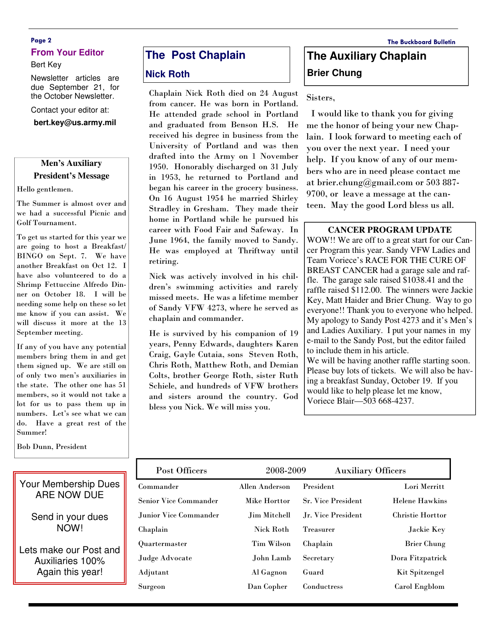# Page 2 The Buckboard Bulletin **From Your Editor**

#### Bert Key

Newsletter articles are due September 21, for the October Newsletter.

Contact your editor at:

**bert.key@us.army.mil** 

## **Men's Auxiliary President's Message**

Hello gentlemen.

The Summer is almost over and we had a successful Picnic and Golf Tournament.

To get us started for this year we are going to host a Breakfast/ BINGO on Sept. 7. We have another Breakfast on Oct 12. I have also volunteered to do a Shrimp Fettuccine Alfredo Dinner on October 18. I will be needing some help on these so let me know if you can assist. We will discuss it more at the 13 September meeting.

If any of you have any potential members bring them in and get them signed up. We are still on of only two men's auxiliaries in the state. The other one has 51 members, so it would not take a lot for us to pass them up in numbers. Let's see what we can do. Have a great rest of the Summer!

Bob Dunn, President

# **The Post Chaplain**

### **Nick Roth**

Chaplain Nick Roth died on 24 August from cancer. He was born in Portland. He attended grade school in Portland and graduated from Benson H.S. He received his degree in business from the University of Portland and was then drafted into the Army on 1 November 1950. Honorably discharged on 31 July in 1953, he returned to Portland and began his career in the grocery business. On 16 August 1954 he married Shirley Stradley in Gresham. They made their home in Portland while he pursued his career with Food Fair and Safeway. In June 1964, the family moved to Sandy. He was employed at Thriftway until retiring.

Nick was actively involved in his children's swimming activities and rarely missed meets. He was a lifetime member of Sandy VFW 4273, where he served as chaplain and commander.

He is survived by his companion of 19 years, Penny Edwards, daughters Karen Craig, Gayle Cutaia, sons Steven Roth, Chris Roth, Matthew Roth, and Demian Colts, brother George Roth, sister Ruth Schiele, and hundreds of VFW brothers and sisters around the country. God bless you Nick. We will miss you.

# **The Auxiliary Chaplain Brier Chung**

Sisters,

 I would like to thank you for giving me the honor of being your new Chaplain. I look forward to meeting each of you over the next year. I need your help. If you know of any of our members who are in need please contact me at brier.chung@gmail.com or 503 887- 9700, or leave a message at the canteen. May the good Lord bless us all.

### **CANCER PROGRAM UPDATE**

WOW!! We are off to a great start for our Cancer Program this year. Sandy VFW Ladies and Team Voriece's RACE FOR THE CURE OF BREAST CANCER had a garage sale and raffle. The garage sale raised \$1038.41 and the raffle raised \$112.00. The winners were Jackie Key, Matt Haider and Brier Chung. Way to go everyone!! Thank you to everyone who helped. My apology to Sandy Post 4273 and it's Men's and Ladies Auxiliary. I put your names in my e-mail to the Sandy Post, but the editor failed to include them in his article. We will be having another raffle starting soon. Please buy lots of tickets. We will also be having a breakfast Sunday, October 19. If you would like to help please let me know, Voriece Blair—503 668-4237.

| Post Officers                | 2008-2009           |                           | <b>Auxiliary Officers</b> |  |
|------------------------------|---------------------|---------------------------|---------------------------|--|
| Commander                    | Allen Anderson      | President                 | Lori Merritt              |  |
| <b>Senior Vice Commander</b> | Mike Horttor        | <b>Sr. Vice President</b> | <b>Helene Hawkins</b>     |  |
| Junior Vice Commander        | <b>Jim Mitchell</b> | Jr. Vice President        | <b>Christie Horttor</b>   |  |
| Chaplain                     | Nick Roth           | <b>Treasurer</b>          | Jackie Key                |  |
| Quartermaster                | Tim Wilson          | Chaplain                  | <b>Brier Chung</b>        |  |
| Judge Advocate               | John Lamb           | Secretary                 | Dora Fitzpatrick          |  |
| Adjutant                     | Al Gagnon           | Guard                     | Kit Spitzengel            |  |
| Surgeon                      | Dan Copher          | Conductress               | Carol Engblom             |  |

Your Membership Dues ARE NOW DUE

> Send in your dues NOW!

Lets make our Post and Auxiliaries 100% Again this year!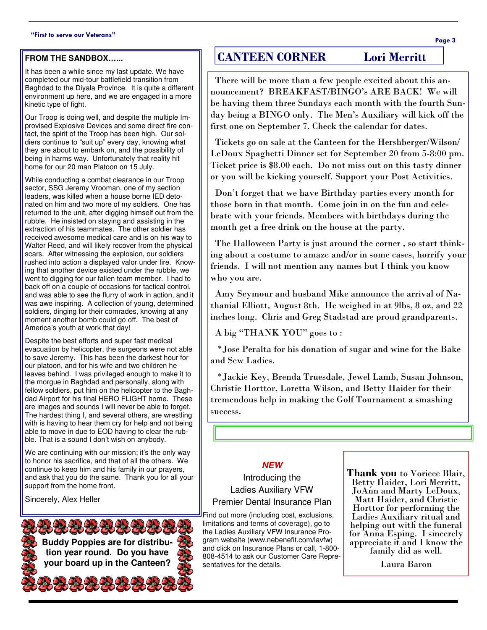#### "First to serve our Veterans"

#### **FROM THE SANDBOX…...**

It has been a while since my last update. We have completed our mid-tour battlefield transition from Baghdad to the Diyala Province. It is quite a different environment up here, and we are engaged in a more kinetic type of fight.

Our Troop is doing well, and despite the multiple Improvised Explosive Devices and some direct fire contact, the spirit of the Troop has been high. Our soldiers continue to "suit up" every day, knowing what they are about to embark on, and the possibility of being in harms way. Unfortunately that reality hit home for our 20 man Platoon on 15 July.

While conducting a combat clearance in our Troop sector, SSG Jeremy Vrooman, one of my section leaders, was killed when a house borne IED detonated on him and two more of my soldiers. One has returned to the unit, after digging himself out from the rubble. He insisted on staying and assisting in the extraction of his teammates. The other soldier has received awesome medical care and is on his way to Walter Reed, and will likely recover from the physical scars. After witnessing the explosion, our soldiers rushed into action a displayed valor under fire. Knowing that another device existed under the rubble, we went to digging for our fallen team member. I had to back off on a couple of occasions for tactical control, and was able to see the flurry of work in action, and it was awe inspiring. A collection of young, determined soldiers, dinging for their comrades, knowing at any moment another bomb could go off. The best of America's youth at work that day!

Despite the best efforts and super fast medical evacuation by helicopter, the surgeons were not able to save Jeremy. This has been the darkest hour for our platoon, and for his wife and two children he leaves behind. I was privileged enough to make it to the morgue in Baghdad and personally, along with fellow soldiers, put him on the helicopter to the Baghdad Airport for his final HERO FLIGHT home. These are images and sounds I will never be able to forget. The hardest thing I, and several others, are wrestling with is having to hear them cry for help and not being able to move in due to EOD having to clear the rubble. That is a sound I don't wish on anybody.

We are continuing with our mission; it's the only way to honor his sacrifice, and that of all the others. We continue to keep him and his family in our prayers, and ask that you do the same. Thank you for all your support from the home front.

> **Buddy Poppies are for distribution year round. Do you have your board up in the Canteen?**

Sincerely, Alex Heller

## those born in that month. Come join in on the fun and celebrate with your friends. Members with birthdays during the month get a free drink on the house at the party.

 The Halloween Party is just around the corner , so start thinking about a costume to amaze and/or in some cases, horrify your friends. I will not mention any names but I think you know who you are.

 Amy Seymour and husband Mike announce the arrival of Nathanial Elliott, August 8th. He weighed in at 9lbs, 8 oz, and 22 inches long. Chris and Greg Stadstad are proud grandparents.

A big "THANK YOU" goes to :

 \*Jose Peralta for his donation of sugar and wine for the Bake and Sew Ladies.

 \*Jackie Key, Brenda Truesdale, Jewel Lamb, Susan Johnson, Christie Horttor, Loretta Wilson, and Betty Haider for their tremendous help in making the Golf Tournament a smashing success.

### **NEW**

Introducing the Ladies Auxiliary VFW Premier Dental Insurance Plan

Find out more (including cost, exclusions, limitations and terms of coverage), go to the Ladies Auxiliary VFW Insurance Program website (www.nebenefit.com/lavfw) and click on Insurance Plans or call, 1-800- 808-4514 to ask our Customer Care Representatives for the details.

Thank you to Voriece Blair, Betty Haider, Lori Merritt, JoAnn and Marty LeDoux, Matt Haider, and Christie Horttor for performing the Ladies Auxiliary ritual and helping out with the funeral for Anna Esping. I sincerely appreciate it and I know the family did as well.

Laura Baron

# CANTEEN CORNER Lori Merritt

 There will be more than a few people excited about this announcement? BREAKFAST/BINGO's ARE BACK! We will be having them three Sundays each month with the fourth Sunday being a BINGO only. The Men's Auxiliary will kick off the first one on September 7. Check the calendar for dates.

LeDoux Spaghetti Dinner set for September 20 from 5-8:00 pm. Ticket price is \$8.00 each. Do not miss out on this tasty dinner or you will be kicking yourself. Support your Post Activities.

Don't forget that we have Birthday parties every month for

Tickets go on sale at the Canteen for the Hershberger/Wilson/